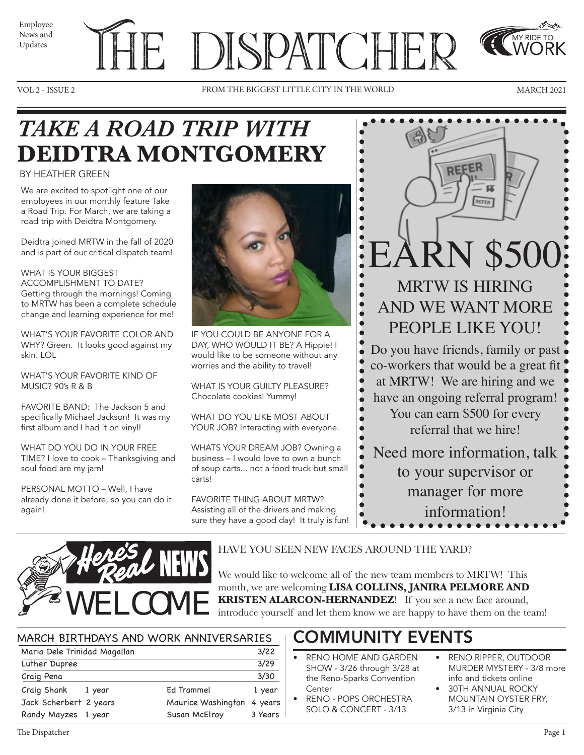News and Updates



VOL 2 - ISSUE 2 FROM THE BIGGEST LITTLE CITY IN THE WORLD MARCH 2021



MY RIDE TO WORK

# *TAKE A ROAD TRIP WITH*  **DEIDTRA MONTGOMERY**

#### BY HEATHER GREEN

We are excited to spotlight one of our employees in our monthly feature Take a Road Trip. For March, we are taking a road trip with Deidtra Montgomery.

Deidtra joined MRTW in the fall of 2020 and is part of our critical dispatch team!

WHAT IS YOUR BIGGEST ACCOMPLISHMENT TO DATE? Getting through the mornings! Coming to MRTW has been a complete schedule change and learning experience for me!

WHAT'S YOUR FAVORITE COLOR AND WHY? Green. It looks good against my skin. LOL

WHAT'S YOUR FAVORITE KIND OF MUSIC? 90's R & B

FAVORITE BAND: The Jackson 5 and specifically Michael Jackson! It was my first album and I had it on vinyl!

WHAT DO YOU DO IN YOUR FREE TIME? I love to cook – Thanksgiving and soul food are my jam!

PERSONAL MOTTO – Well, I have already done it before, so you can do it again!



IF YOU COULD BE ANYONE FOR A DAY, WHO WOULD IT BE? A Hippie! I would like to be someone without any worries and the ability to travel!

WHAT IS YOUR GUILTY PLEASURE? Chocolate cookies! Yummy!

WHAT DO YOU LIKE MOST ABOUT YOUR JOB? Interacting with everyone.

WHATS YOUR DREAM JOB? Owning a business – I would love to own a bunch of soup carts... not a food truck but small carts!

FAVORITE THING ABOUT MRTW? Assisting all of the drivers and making sure they have a good day! It truly is fun!





HAVE YOU SEEN NEW FACES AROUND THE YARD?

We would like to welcome all of the new team members to MRTW! This month, we are welcoming **LISA COLLINS, JANIRA PELMORE AND KRISTEN ALARCON-HERNANDEZ**! If you see a new face around,

introduce yourself and let them know we are happy to have them on the team!

#### MARCH BIRTHDAYS AND WORK ANNIVERSARIES

| Maria Dele Trinidad Magallan |        |                    | 3/22    |
|------------------------------|--------|--------------------|---------|
| Luther Dupree                |        |                    | 3/29    |
| Craig Pena                   |        |                    | 3/30    |
| Craig Shank                  | 1 year | Ed Trammel         | 1 year  |
| Jack Scherbert 2 years       |        | Maurice Washington | 4 years |
| Randy Mayzes 1 year          |        | Susan McElroy      | 3 Years |

### COMMUNITY EVENTS

- RENO HOME AND GARDEN SHOW - 3/26 through 3/28 at the Reno-Sparks Convention Center
- RENO POPS ORCHESTRA SOLO & CONCERT - 3/13
- RENO RIPPER, OUTDOOR MURDER MYSTERY - 3/8 more info and tickets online
- 30TH ANNUAL ROCKY MOUNTAIN OYSTER FRY, 3/13 in Virginia City